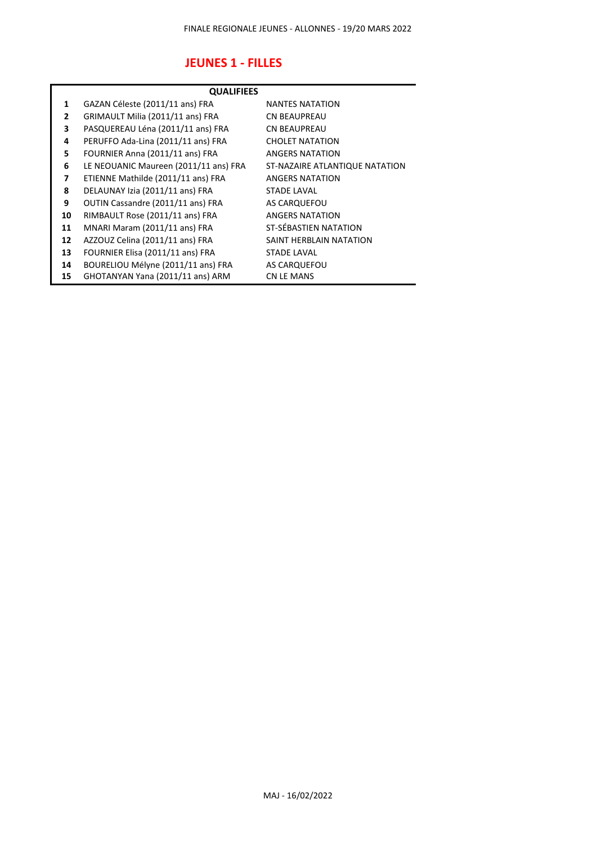## **JEUNES 1 - FILLES**

| <b>QUALIFIEES</b> |                                       |                                |
|-------------------|---------------------------------------|--------------------------------|
| 1                 | GAZAN Céleste (2011/11 ans) FRA       | <b>NANTES NATATION</b>         |
| 2                 | GRIMAULT Milia (2011/11 ans) FRA      | <b>CN BEAUPREAU</b>            |
| 3                 | PASQUEREAU Léna (2011/11 ans) FRA     | <b>CN BEAUPREAU</b>            |
| 4                 | PERUFFO Ada-Lina (2011/11 ans) FRA    | <b>CHOLET NATATION</b>         |
| 5                 | FOURNIER Anna (2011/11 ans) FRA       | <b>ANGERS NATATION</b>         |
| 6                 | LE NEOUANIC Maureen (2011/11 ans) FRA | ST-NAZAIRE ATLANTIQUE NATATION |
| 7                 | ETIENNE Mathilde (2011/11 ans) FRA    | <b>ANGERS NATATION</b>         |
| 8                 | DELAUNAY Izia (2011/11 ans) FRA       | <b>STADE LAVAL</b>             |
| 9                 | OUTIN Cassandre (2011/11 ans) FRA     | AS CARQUEFOU                   |
| 10                | RIMBAULT Rose (2011/11 ans) FRA       | <b>ANGERS NATATION</b>         |
| 11                | MNARI Maram (2011/11 ans) FRA         | ST-SÉBASTIEN NATATION          |
| 12                | AZZOUZ Celina (2011/11 ans) FRA       | SAINT HERBLAIN NATATION        |
| 13                | FOURNIER Elisa (2011/11 ans) FRA      | <b>STADE LAVAL</b>             |
| 14                | BOURELIOU Mélyne (2011/11 ans) FRA    | AS CARQUEFOU                   |
| 15                | GHOTANYAN Yana (2011/11 ans) ARM      | CN LE MANS                     |
|                   |                                       |                                |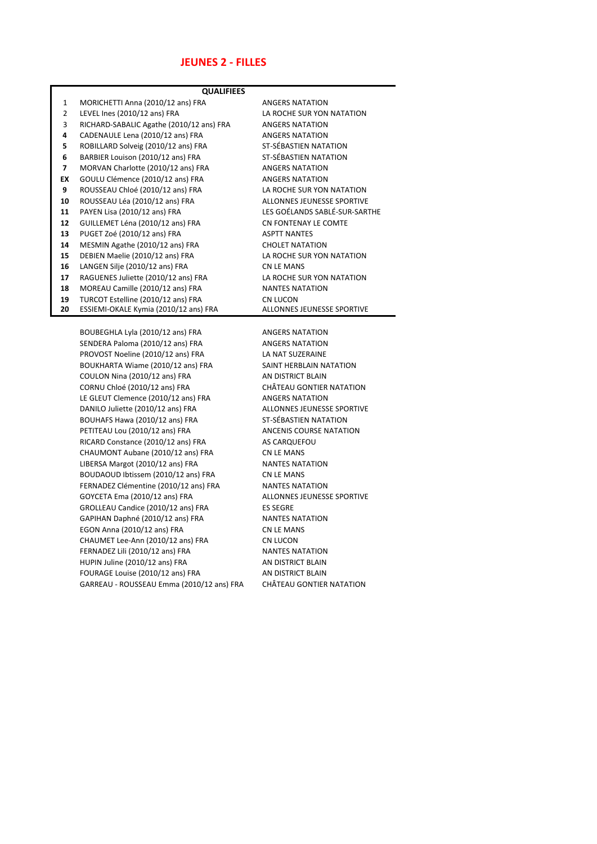#### **JEUNES 2 - FILLES**

| <b>QUALIFIEES</b> |                                          |                                   |  |
|-------------------|------------------------------------------|-----------------------------------|--|
| $\mathbf{1}$      | MORICHETTI Anna (2010/12 ans) FRA        | <b>ANGERS NATATION</b>            |  |
| $\overline{2}$    | LEVEL Ines (2010/12 ans) FRA             | LA ROCHE SUR YON NATATION         |  |
| 3                 | RICHARD-SABALIC Agathe (2010/12 ans) FRA | <b>ANGERS NATATION</b>            |  |
| 4                 | CADENAULE Lena (2010/12 ans) FRA         | <b>ANGERS NATATION</b>            |  |
| 5                 | ROBILLARD Solveig (2010/12 ans) FRA      | ST-SÉBASTIEN NATATION             |  |
| 6                 | BARBIER Louison (2010/12 ans) FRA        | ST-SÉBASTIEN NATATION             |  |
| 7                 | MORVAN Charlotte (2010/12 ans) FRA       | <b>ANGERS NATATION</b>            |  |
| EX                | GOULU Clémence (2010/12 ans) FRA         | <b>ANGERS NATATION</b>            |  |
| 9                 | ROUSSEAU Chloé (2010/12 ans) FRA         | LA ROCHE SUR YON NATATION         |  |
| 10                | ROUSSEAU Léa (2010/12 ans) FRA           | ALLONNES JEUNESSE SPORTIVE        |  |
| 11                | PAYEN Lisa (2010/12 ans) FRA             | LES GOÉLANDS SABLÉ-SUR-SARTHE     |  |
| 12                | GUILLEMET Léna (2010/12 ans) FRA         | CN FONTENAY LE COMTE              |  |
| 13                | PUGET Zoé (2010/12 ans) FRA              | <b>ASPTT NANTES</b>               |  |
| 14                | MESMIN Agathe (2010/12 ans) FRA          | <b>CHOLET NATATION</b>            |  |
| 15                | DEBIEN Maelie (2010/12 ans) FRA          | LA ROCHE SUR YON NATATION         |  |
| 16                | LANGEN Silje (2010/12 ans) FRA           | CN LE MANS                        |  |
| 17                | RAGUENES Juliette (2010/12 ans) FRA      | LA ROCHE SUR YON NATATION         |  |
| 18                | MOREAU Camille (2010/12 ans) FRA         | <b>NANTES NATATION</b>            |  |
| 19                | TURCOT Estelline (2010/12 ans) FRA       | CN LUCON                          |  |
| 20                | ESSIEMI-OKALE Kymia (2010/12 ans) FRA    | <b>ALLONNES JEUNESSE SPORTIVE</b> |  |
|                   |                                          |                                   |  |

BOUBEGHLA Lyla (2010/12 ans) FRA ANGERS NATATION SENDERA Paloma (2010/12 ans) FRA ANGERS NATATION PROVOST Noeline (2010/12 ans) FRA LA NAT SUZERAINE BOUKHARTA Wiame (2010/12 ans) FRA SAINT HERBLAIN NATATION COULON Nina (2010/12 ans) FRA AN DISTRICT BLAIN CORNU Chloé (2010/12 ans) FRA CHÂTEAU GONTIER NATATION LE GLEUT Clemence (2010/12 ans) FRA ANGERS NATATION DANILO Juliette (2010/12 ans) FRA ALLONNES JEUNESSE SPORTIVE BOUHAFS Hawa (2010/12 ans) FRA ST-SÉBASTIEN NATATION PETITEAU Lou (2010/12 ans) FRA ANCENIS COURSE NATATION RICARD Constance (2010/12 ans) FRA AS CARQUEFOU CHAUMONT Aubane (2010/12 ans) FRA CN LE MANS LIBERSA Margot (2010/12 ans) FRA NANTES NATATION BOUDAOUD Ibtissem (2010/12 ans) FRA CN LE MANS FERNADEZ Clémentine (2010/12 ans) FRA NANTES NATATION GOYCETA Ema (2010/12 ans) FRA ALLONNES JEUNESSE SPORTIVE GROLLEAU Candice (2010/12 ans) FRA ES SEGRE GAPIHAN Daphné (2010/12 ans) FRA NANTES NATATION EGON Anna (2010/12 ans) FRA CN LE MANS CHAUMET Lee-Ann (2010/12 ans) FRA CN LUCON FERNADEZ Lili (2010/12 ans) FRA NANTES NATATION HUPIN Juline (2010/12 ans) FRA AN DISTRICT BLAIN FOURAGE Louise (2010/12 ans) FRA AN DISTRICT BLAIN GARREAU - ROUSSEAU Emma (2010/12 ans) FRA CHÂTEAU GONTIER NATATION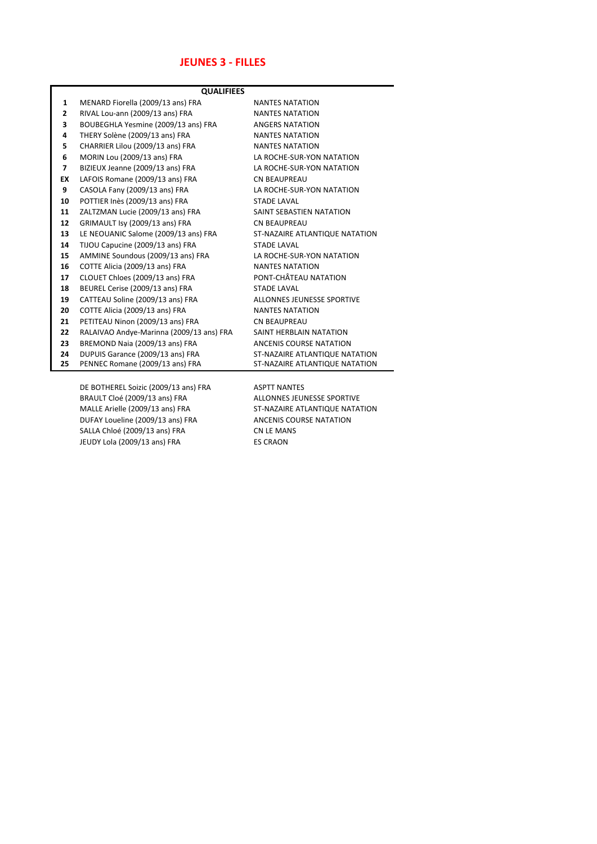### **JEUNES 3 - FILLES**

| <b>QUALIFIEES</b> |                                          |                                |
|-------------------|------------------------------------------|--------------------------------|
| 1                 | MENARD Fiorella (2009/13 ans) FRA        | <b>NANTES NATATION</b>         |
| 2                 | RIVAL Lou-ann (2009/13 ans) FRA          | <b>NANTES NATATION</b>         |
| 3                 | BOUBEGHLA Yesmine (2009/13 ans) FRA      | <b>ANGERS NATATION</b>         |
| 4                 | THERY Solène (2009/13 ans) FRA           | <b>NANTES NATATION</b>         |
| 5                 | CHARRIER Lilou (2009/13 ans) FRA         | <b>NANTES NATATION</b>         |
| 6                 | MORIN Lou (2009/13 ans) FRA              | LA ROCHE-SUR-YON NATATION      |
| $\overline{7}$    | BIZIEUX Jeanne (2009/13 ans) FRA         | LA ROCHE-SUR-YON NATATION      |
| EX                | LAFOIS Romane (2009/13 ans) FRA          | <b>CN BEAUPREAU</b>            |
| 9                 | CASOLA Fany (2009/13 ans) FRA            | LA ROCHE-SUR-YON NATATION      |
| 10                | POTTIER Inès (2009/13 ans) FRA           | <b>STADE LAVAL</b>             |
| 11                | ZALTZMAN Lucie (2009/13 ans) FRA         | SAINT SEBASTIEN NATATION       |
| 12                | GRIMAULT Isy (2009/13 ans) FRA           | <b>CN BEAUPREAU</b>            |
| 13                | LE NEOUANIC Salome (2009/13 ans) FRA     | ST-NAZAIRE ATLANTIQUE NATATION |
| 14                | TIJOU Capucine (2009/13 ans) FRA         | <b>STADE LAVAL</b>             |
| 15                | AMMINE Soundous (2009/13 ans) FRA        | LA ROCHE-SUR-YON NATATION      |
| 16                | COTTE Alicia (2009/13 ans) FRA           | <b>NANTES NATATION</b>         |
| 17                | CLOUET Chloes (2009/13 ans) FRA          | PONT-CHÂTEAU NATATION          |
| 18                | BEUREL Cerise (2009/13 ans) FRA          | <b>STADE LAVAL</b>             |
| 19                | CATTEAU Soline (2009/13 ans) FRA         | ALLONNES JEUNESSE SPORTIVE     |
| 20                | COTTE Alicia (2009/13 ans) FRA           | <b>NANTES NATATION</b>         |
| 21                | PETITEAU Ninon (2009/13 ans) FRA         | <b>CN BEAUPREAU</b>            |
| 22                | RALAIVAO Andye-Marinna (2009/13 ans) FRA | SAINT HERBLAIN NATATION        |
| 23                | BREMOND Naia (2009/13 ans) FRA           | ANCENIS COURSE NATATION        |
| 24                | DUPUIS Garance (2009/13 ans) FRA         | ST-NAZAIRE ATLANTIQUE NATATION |
| 25                | PENNEC Romane (2009/13 ans) FRA          | ST-NAZAIRE ATLANTIQUE NATATION |
|                   |                                          |                                |
|                   | DE BOTHEREL Soizic (2009/13 ans) FRA     | <b>ASPTT NANTES</b>            |
|                   | BRAULT Cloé (2009/13 ans) FRA            | ALLONNES JEUNESSE SPORTIVE     |
|                   | MALLE Arielle (2009/13 ans) FRA          | ST-NAZAIRE ATLANTIQUE NATATION |
|                   | DUFAY Loueline (2009/13 ans) FRA         | ANCENIS COURSE NATATION        |

SALLA Chloé (2009/13 ans) FRA CN LE MANS JEUDY Lola (2009/13 ans) FRA ES CRAON

L.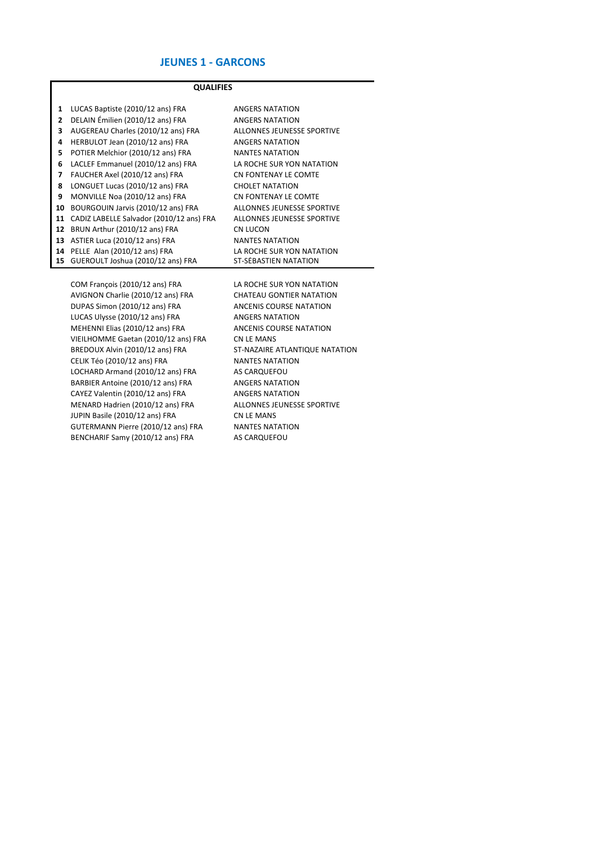#### **JEUNES 1 - GARCONS**

#### **QUALIFIES**

| 1  | LUCAS Baptiste (2010/12 ans) FRA         | ANGERS NATATION            |
|----|------------------------------------------|----------------------------|
| 2  | DELAIN Émilien (2010/12 ans) FRA         | <b>ANGERS NATATION</b>     |
| 3  | AUGEREAU Charles (2010/12 ans) FRA       | ALLONNES JEUNESSE SPORTIVE |
| 4  | HERBULOT Jean (2010/12 ans) FRA          | ANGERS NATATION            |
| 5  | POTIER Melchior (2010/12 ans) FRA        | <b>NANTES NATATION</b>     |
| 6  | LACLEF Emmanuel (2010/12 ans) FRA        | LA ROCHE SUR YON NATATION  |
| 7  | FAUCHER Axel (2010/12 ans) FRA           | CN FONTENAY LE COMTE       |
| 8  | LONGUET Lucas (2010/12 ans) FRA          | CHOLET NATATION            |
| 9  | MONVILLE Noa (2010/12 ans) FRA           | CN FONTENAY LE COMTE       |
| 10 | BOURGOUIN Jarvis (2010/12 ans) FRA       | ALLONNES JEUNESSE SPORTIVE |
| 11 | CADIZ LABELLE Salvador (2010/12 ans) FRA | ALLONNES JEUNESSE SPORTIVE |
| 12 | BRUN Arthur (2010/12 ans) FRA            | CN LUCON                   |
| 13 | ASTIER Luca (2010/12 ans) FRA            | <b>NANTES NATATION</b>     |
| 14 | PELLE Alan (2010/12 ans) FRA             | LA ROCHE SUR YON NATATION  |
| 15 | GUEROULT Joshua (2010/12 ans) FRA        | ST-SÉBASTIEN NATATION      |

COM François (2010/12 ans) FRA LA ROCHE SUR YON NATATION AVIGNON Charlie (2010/12 ans) FRA CHATEAU GONTIER NATATION DUPAS Simon (2010/12 ans) FRA ANCENIS COURSE NATATION LUCAS Ulysse (2010/12 ans) FRA ANGERS NATATION MEHENNI Elias (2010/12 ans) FRA ANCENIS COURSE NATATION VIEILHOMME Gaetan (2010/12 ans) FRA CN LE MANS<br>
BREDOUX Alvin (2010/12 ans) FRA ST-NAZAIRE ATLANTIQUE NATATION BREDOUX Alvin (2010/12 ans) FRA ST-NAZAIRE ATLANT<br>CELIK Téo (2010/12 ans) FRA NANTES NATATION CELIK Téo (2010/12 ans) FRA LOCHARD Armand (2010/12 ans) FRA AS CARQUEFOU BARBIER Antoine (2010/12 ans) FRA ANGERS NATATION CAYEZ Valentin (2010/12 ans) FRA ANGERS NATATION MENARD Hadrien (2010/12 ans) FRA ALLONNES JEUNESSE SPORTIVE JUPIN Basile (2010/12 ans) FRA CN LE MANS<br>GUTERMANN Pierre (2010/12 ans) FRA NANTES NATATION GUTERMANN Pierre (2010/12 ans) FRA BENCHARIF Samy (2010/12 ans) FRA AS CARQUEFOU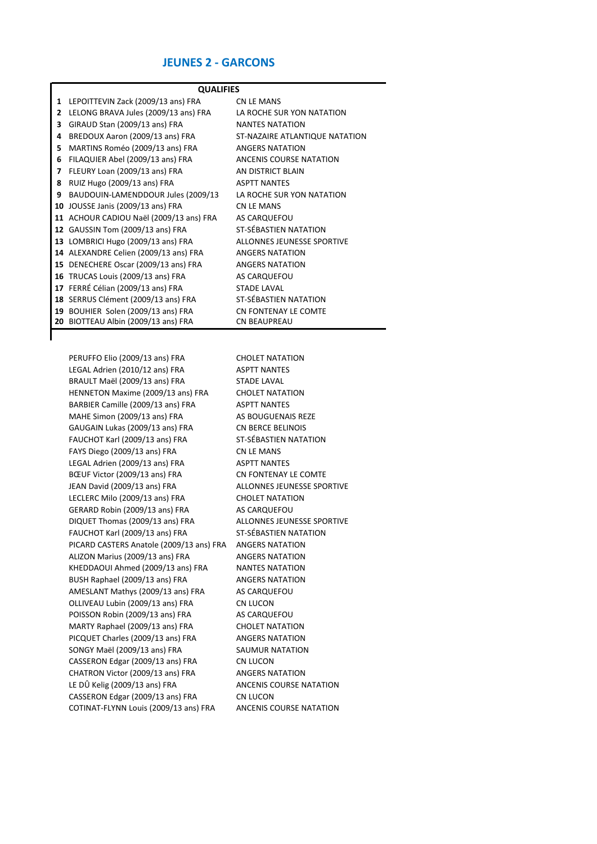### **JEUNES 2 - GARCONS**

|    | <b>QUALIFIES</b>                        |                                |  |
|----|-----------------------------------------|--------------------------------|--|
| 1  | LEPOITTEVIN Zack (2009/13 ans) FRA      | <b>CN LE MANS</b>              |  |
| 2  | LELONG BRAVA Jules (2009/13 ans) FRA    | LA ROCHE SUR YON NATATION      |  |
| 3  | GIRAUD Stan (2009/13 ans) FRA           | <b>NANTES NATATION</b>         |  |
| 4  | BREDOUX Aaron (2009/13 ans) FRA         | ST-NAZAIRE ATLANTIQUE NATATION |  |
| 5  | MARTINS Roméo (2009/13 ans) FRA         | <b>ANGERS NATATION</b>         |  |
| 6  | FILAQUIER Abel (2009/13 ans) FRA        | ANCENIS COURSE NATATION        |  |
| 7  | FLEURY Loan (2009/13 ans) FRA           | AN DISTRICT BLAIN              |  |
| 8  | RUIZ Hugo (2009/13 ans) FRA             | <b>ASPTT NANTES</b>            |  |
| 9  | BAUDOUIN-LAMENDDOUR Jules (2009/13      | LA ROCHE SUR YON NATATION      |  |
| 10 | JOUSSE Janis (2009/13 ans) FRA          | CN LE MANS                     |  |
|    | 11 ACHOUR CADIOU Naël (2009/13 ans) FRA | AS CARQUEFOU                   |  |
| 12 | GAUSSIN Tom (2009/13 ans) FRA           | ST-SÉBASTIEN NATATION          |  |
|    | 13 LOMBRICI Hugo (2009/13 ans) FRA      | ALLONNES JEUNESSE SPORTIVE     |  |
|    | 14 ALEXANDRE Celien (2009/13 ans) FRA   | <b>ANGERS NATATION</b>         |  |
| 15 | DENECHERE Oscar (2009/13 ans) FRA       | <b>ANGERS NATATION</b>         |  |
| 16 | TRUCAS Louis (2009/13 ans) FRA          | AS CARQUEFOU                   |  |
| 17 | FERRÉ Célian (2009/13 ans) FRA          | <b>STADE LAVAL</b>             |  |
|    | 18 SERRUS Clément (2009/13 ans) FRA     | ST-SÉBASTIEN NATATION          |  |
| 19 | BOUHIER Solen (2009/13 ans) FRA         | CN FONTENAY LE COMTE           |  |
| 20 | BIOTTEAU Albin (2009/13 ans) FRA        | <b>CN BEAUPREAU</b>            |  |

PERUFFO Elio (2009/13 ans) FRA CHOLET NATATION LEGAL Adrien (2010/12 ans) FRA ASPTT NANTES BRAULT Maël (2009/13 ans) FRA STADE LAVAL HENNETON Maxime (2009/13 ans) FRA CHOLET NATATION BARBIER Camille (2009/13 ans) FRA ASPTT NANTES MAHE Simon (2009/13 ans) FRA AS BOUGUENAIS REZE GAUGAIN Lukas (2009/13 ans) FRA CN BERCE BELINOIS FAUCHOT Karl (2009/13 ans) FRA ST-SÉBASTIEN NATATION FAYS Diego (2009/13 ans) FRA CN LE MANS LEGAL Adrien (2009/13 ans) FRA ASPTT NANTES BŒUF Victor (2009/13 ans) FRA CN FONTENAY LE COMTE JEAN David (2009/13 ans) FRA ALLONNES JEUNESSE SPORTIVE LECLERC Milo (2009/13 ans) FRA CHOLET NATATION GERARD Robin (2009/13 ans) FRA AS CARQUEFOU DIQUET Thomas (2009/13 ans) FRA ALLONNES JEUNESSE SPORTIVE FAUCHOT Karl (2009/13 ans) FRA ST-SÉBASTIEN NATATION PICARD CASTERS Anatole (2009/13 ans) FRA ANGERS NATATION ALIZON Marius (2009/13 ans) FRA ANGERS NATATION KHEDDAOUI Ahmed (2009/13 ans) FRA NANTES NATATION BUSH Raphael (2009/13 ans) FRA ANGERS NATATION AMESLANT Mathys (2009/13 ans) FRA AS CARQUEFOU OLLIVEAU Lubin (2009/13 ans) FRA CN LUCON POISSON Robin (2009/13 ans) FRA AS CARQUEFOU MARTY Raphael (2009/13 ans) FRA CHOLET NATATION PICQUET Charles (2009/13 ans) FRA ANGERS NATATION SONGY Maël (2009/13 ans) FRA SAUMUR NATATION CASSERON Edgar (2009/13 ans) FRA CN LUCON CHATRON Victor (2009/13 ans) FRA ANGERS NATATION LE DÛ Kelig (2009/13 ans) FRA ANCENIS COURSE NATATION CASSERON Edgar (2009/13 ans) FRA CN LUCON

COTINAT-FLYNN Louis (2009/13 ans) FRA ANCENIS COURSE NATATION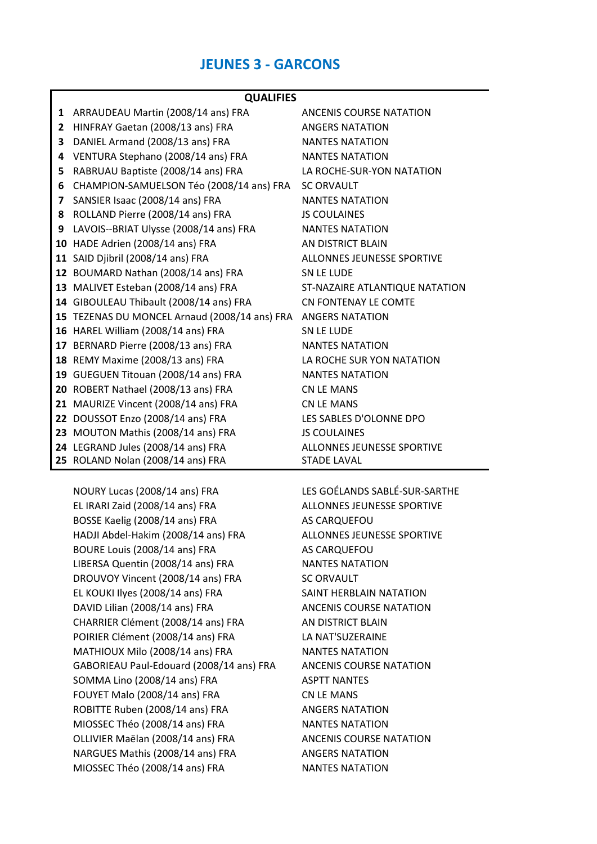# **JEUNES 3 - GARCONS**

#### **QUALIFIES**

| 1  | ARRAUDEAU Martin (2008/14 ans) FRA                                      | ANCENIS COURSE NATATION                          |
|----|-------------------------------------------------------------------------|--------------------------------------------------|
| 2  | HINFRAY Gaetan (2008/13 ans) FRA                                        | <b>ANGERS NATATION</b>                           |
| 3  | DANIEL Armand (2008/13 ans) FRA                                         | <b>NANTES NATATION</b>                           |
| 4  | VENTURA Stephano (2008/14 ans) FRA                                      | <b>NANTES NATATION</b>                           |
| 5  | RABRUAU Baptiste (2008/14 ans) FRA                                      | LA ROCHE-SUR-YON NATATION                        |
| 6  | CHAMPION-SAMUELSON Téo (2008/14 ans) FRA                                | <b>SC ORVAULT</b>                                |
| 7  | SANSIER Isaac (2008/14 ans) FRA                                         | <b>NANTES NATATION</b>                           |
| 8  | ROLLAND Pierre (2008/14 ans) FRA                                        | <b>JS COULAINES</b>                              |
| 9  | LAVOIS--BRIAT Ulysse (2008/14 ans) FRA                                  | <b>NANTES NATATION</b>                           |
|    | 10 HADE Adrien (2008/14 ans) FRA                                        | AN DISTRICT BLAIN                                |
|    | 11 SAID Djibril (2008/14 ans) FRA                                       | ALLONNES JEUNESSE SPORTIVE                       |
|    | 12 BOUMARD Nathan (2008/14 ans) FRA                                     | SN LE LUDE                                       |
|    | 13 MALIVET Esteban (2008/14 ans) FRA                                    | ST-NAZAIRE ATLANTIQUE NATATION                   |
|    | 14 GIBOULEAU Thibault (2008/14 ans) FRA                                 | CN FONTENAY LE COMTE                             |
|    | 15 TEZENAS DU MONCEL Arnaud (2008/14 ans) FRA                           | <b>ANGERS NATATION</b>                           |
|    | 16 HAREL William (2008/14 ans) FRA                                      | SN LE LUDE                                       |
| 17 | BERNARD Pierre (2008/13 ans) FRA                                        | <b>NANTES NATATION</b>                           |
|    | 18 REMY Maxime (2008/13 ans) FRA                                        | LA ROCHE SUR YON NATATION                        |
|    | 19 GUEGUEN Titouan (2008/14 ans) FRA                                    | <b>NANTES NATATION</b>                           |
|    | 20 ROBERT Nathael (2008/13 ans) FRA                                     | CN LE MANS                                       |
|    | 21 MAURIZE Vincent (2008/14 ans) FRA                                    | <b>CN LE MANS</b>                                |
|    | 22 DOUSSOT Enzo (2008/14 ans) FRA                                       | LES SABLES D'OLONNE DPO                          |
|    | 23 MOUTON Mathis (2008/14 ans) FRA                                      | <b>JS COULAINES</b>                              |
|    | 24 LEGRAND Jules (2008/14 ans) FRA<br>25 ROLAND Nolan (2008/14 ans) FRA | ALLONNES JEUNESSE SPORTIVE<br><b>STADE LAVAL</b> |

NOURY Lucas (2008/14 ans) FRA LES GOÉLANDS SABLÉ-SUR-SARTHE EL IRARI Zaid (2008/14 ans) FRA ALLONNES JEUNESSE SPORTIVE BOSSE Kaelig (2008/14 ans) FRA AS CARQUEFOU HADJI Abdel-Hakim (2008/14 ans) FRA ALLONNES JEUNESSE SPORTIVE BOURE Louis (2008/14 ans) FRA AS CARQUEFOU LIBERSA Quentin (2008/14 ans) FRA NANTES NATATION DROUVOY Vincent (2008/14 ans) FRA SC ORVAULT EL KOUKI Ilyes (2008/14 ans) FRA SAINT HERBLAIN NATATION DAVID Lilian (2008/14 ans) FRA ANCENIS COURSE NATATION CHARRIER Clément (2008/14 ans) FRA AN DISTRICT BLAIN POIRIER Clément (2008/14 ans) FRA LA NAT'SUZERAINE MATHIOUX Milo (2008/14 ans) FRA NANTES NATATION GABORIEAU Paul-Edouard (2008/14 ans) FRA ANCENIS COURSE NATATION SOMMA Lino (2008/14 ans) FRA ASPTT NANTES FOUYET Malo (2008/14 ans) FRA CN LE MANS ROBITTE Ruben (2008/14 ans) FRA ANGERS NATATION MIOSSEC Théo (2008/14 ans) FRA NANTES NATATION OLLIVIER Maëlan (2008/14 ans) FRA ANCENIS COURSE NATATION NARGUES Mathis (2008/14 ans) FRA ANGERS NATATION MIOSSEC Théo (2008/14 ans) FRA NANTES NATATION